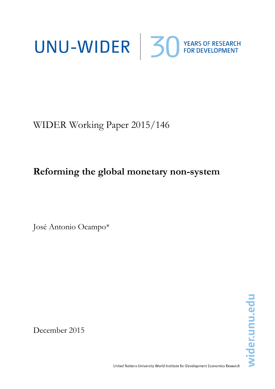# UNU-WIDER | 30 YEARS OF RESEARCH

WIDER Working Paper 2015/146

**Reforming the global monetary non-system**

José Antonio Ocampo\*

December 2015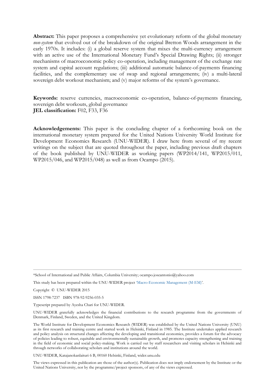**Abstract:** This paper proposes a comprehensive yet evolutionary reform of the global monetary *non-system* that evolved out of the breakdown of the original Bretton Woods arrangement in the early 1970s. It includes: (i) a global reserve system that mixes the multi-currency arrangement with an active use of the International Monetary Fund's Special Drawing Rights; (ii) stronger mechanisms of macroeconomic policy co-operation, including management of the exchange rate system and capital account regulations; (iii) additional automatic balance-of-payments financing facilities, and the complementary use of swap and regional arrangements; (iv) a multi-lateral sovereign debt workout mechanism; and (v) major reforms of the system's governance.

**Keywords:** reserve currencies, macroeconomic co-operation, balance-of-payments financing, sovereign debt workouts, global governance **JEL classification:** F02, F33, F36

**Acknowledgements:** This paper is the concluding chapter of a forthcoming book on the international monetary system prepared for the United Nations University World Institute for Development Economics Research (UNU-WIDER). I draw here from several of my recent writings on the subject that are quoted throughout the paper, including previous draft chapters of the book published by UNU-WIDER as working papers (WP2014/141, WP2015/011, WP2015/046, and WP2015/048) as well as from Ocampo (2015).

\*School of International and Public Affairs, Columbia University; ocampo.joseantonio@yahoo.com

This study has been prepared within the UNU-WIDER project '[Macro-Economic Management \(M-EM\)](https://www.wider.unu.edu/project/macro-economic-management-m-em)'.

Copyright © UNU-WIDER 2015

ISSN 1798-7237 ISBN 978-92-9256-035-5

Typescript prepared by Ayesha Chari for UNU-WIDER.

UNU-WIDER gratefully acknowledges the financial contributions to the research programme from the governments of Denmark, Finland, Sweden, and the United Kingdom.

The World Institute for Development Economics Research (WIDER) was established by the United Nations University (UNU) as its first research and training centre and started work in Helsinki, Finland in 1985. The Institute undertakes applied research and policy analysis on structural changes affecting the developing and transitional economies, provides a forum for the advocacy of policies leading to robust, equitable and environmentally sustainable growth, and promotes capacity strengthening and training in the field of economic and social policy-making. Work is carried out by staff researchers and visiting scholars in Helsinki and through networks of collaborating scholars and institutions around the world.

UNU-WIDER, Katajanokanlaituri 6 B, 00160 Helsinki, Finland, wider.unu.edu

The views expressed in this publication are those of the author(s). Publication does not imply endorsement by the Institute or the United Nations University, nor by the programme/project sponsors, of any of the views expressed.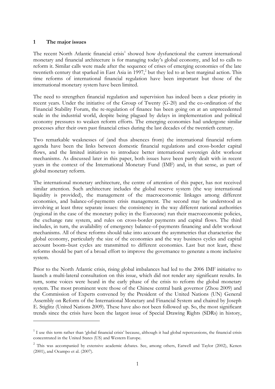#### **1 The major issues**

<u>.</u>

The recent North Atlantic financial crisis<sup>1</sup> showed how dysfunctional the current international monetary and financial architecture is for managing today's global economy, and led to calls to reform it. Similar calls were made after the sequence of crises of emerging economies of the late twentieth century that sparked in East Asia in 1997, $3$  but they led to at best marginal action. This time reforms of international financial regulation have been important but those of the international monetary system have been limited.

The need to strengthen financial regulation and supervision has indeed been a clear priority in recent years. Under the initiative of the Group of Twenty (G-20) and the co-ordination of the Financial Stability Forum, the re-regulation of finance has been going on at an unprecedented scale in the industrial world, despite being plagued by delays in implementation and political economy pressures to weaken reform efforts. The emerging economies had undergone similar processes after their own past financial crises during the last decades of the twentieth century.

Two remarkable weaknesses of (and thus absences from) the international financial reform agenda have been the links between domestic financial regulations and cross-border capital flows, and the limited initiatives to introduce better international sovereign debt workout mechanisms. As discussed later in this paper, both issues have been partly dealt with in recent years in the context of the International Monetary Fund (IMF) and, in that sense, as part of global monetary reform.

The international monetary architecture, the centre of attention of this paper, has not received similar attention. Such architecture includes the global reserve system (the way international liquidity is provided), the management of the macroeconomic linkages among different economies, and balance-of-payments crisis management. The second may be understood as involving at least three separate issues: the consistency in the way different national authorities (regional in the case of the monetary policy in the Eurozone) run their macroeconomic policies, the exchange rate system, and rules on cross-border payments and capital flows. The third includes, in turn, the availability of emergency balance-of-payments financing and debt workout mechanisms. All of these reforms should take into account the asymmetries that characterize the global economy, particularly the size of the economies and the way business cycles and capital account boom–bust cycles are transmitted to different economies. Last but not least, these reforms should be part of a broad effort to improve the governance to generate a more inclusive system.

Prior to the North Atlantic crisis, rising global imbalances had led to the 2006 IMF initiative to launch a multi-lateral consultation on this issue, which did not render any significant results. In turn, some voices were heard in the early phase of the crisis to reform the global monetary system. The most prominent were those of the Chinese central bank governor (Zhou 2009) and the Commission of Experts convened by the President of the United Nations (UN) General Assembly on Reform of the International Monetary and Financial System and chaired by Joseph E. Stiglitz (United Nations 2009). These have also not been followed up. So, the most significant trends since the crisis have been the largest issue of Special Drawing Rights (SDRs) in history,

<sup>&</sup>lt;sup>1</sup> I use this term rather than 'global financial crisis' because, although it had global repercussions, the financial crisis concentrated in the United States (US) and Western Europe.

<sup>&</sup>lt;sup>2</sup> This was accompanied by extensive academic debates. See, among others, Eatwell and Taylor (2002), Kenen (2001), and Ocampo et al. (2007).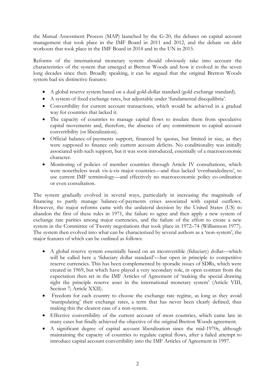the Mutual Assessment Process (MAP) launched by the G-20, the debates on capital account management that took place in the IMF Board in 2011 and 2012, and the debate on debt workouts that took place in the IMF Board in 2014 and in the UN in 2015.

Reforms of the international monetary system should obviously take into account the characteristics of the system that emerged at Bretton Woods and how it evolved in the seven long decades since then. Broadly speaking, it can be argued that the original Bretton Woods system had six distinctive features:

- A global reserve system based on a dual gold-dollar standard (gold exchange standard).
- A system of fixed exchange rates, but adjustable under 'fundamental disequilibria'.
- Convertibility for current account transactions, which would be achieved in a gradual way for countries that lacked it.
- The capacity of countries to manage capital flows to insulate them from speculative capital movements and, therefore, the absence of any commitment to capital account convertibility (or liberalization).
- Official balance-of-payments support, financed by quotas, but limited in size, as they were supposed to finance only current account deficits. No conditionality was initially associated with such support, but it was soon introduced, essentially of a macroeconomic character.
- Monitoring of policies of member countries through Article IV consultations, which were nonetheless weak vis-à-vis major countries—and thus lacked 'evenhandedness', to use current IMF terminology—and effectively no macroeconomic policy co-ordination or even consultation.

The system gradually evolved in several ways, particularly in increasing the magnitude of financing to partly manage balance-of-payments crises associated with capital outflows. However, the major reforms came with the unilateral decision by the United States (US) to abandon the first of these rules in 1971, the failure to agree and then apply a new system of exchange rate parities among major currencies, and the failure of the effort to create a new system in the Committee of Twenty negotiations that took place in 1972–74 (Williamson 1977). The system then evolved into what can be characterized by several authors as a 'non-system', the major features of which can be outlined as follows:

- A global reserve system essentially based on an inconvertible (fiduciary) dollar—which will be called here a 'fiduciary dollar standard'—but open in principle to competitive reserve currencies. This has been complemented by sporadic issues of SDRs, which were created in 1969, but which have played a very secondary role, in open contrast from the expectation then set in the IMF Articles of Agreement of 'making the special drawing right the principle reserve asset in the international monetary system' (Article VIII, Section 7; Article XXII).
- Freedom for each country to choose the exchange rate regime, as long as they avoid 'manipulating' their exchange rates, a term that has never been clearly defined, thus making this the clearest case of a non-system.
- Effective convertibility of the current account of most countries, which came late in many cases but finally achieved the objective of the original Bretton Woods agreement.
- A significant degree of capital account liberalization since the mid-1970s, although maintaining the capacity of countries to regulate capital flows, after a failed attempt to introduce capital account convertibility into the IMF Articles of Agreement in 1997.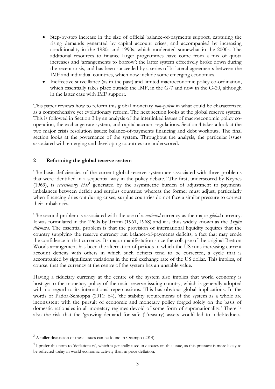- Step-by-step increase in the size of official balance-of-payments support, capturing the rising demands generated by capital account crises, and accompanied by increasing conditionality in the 1980s and 1990s, which moderated somewhat in the 2000s. The additional resources to finance larger programmes have come from a mix of quota increases and 'arrangements to borrow'; the latter system effectively broke down during the recent crisis, and has been succeeded by a series of bi-lateral agreements between the IMF and individual countries, which now include some emerging economies.
- Ineffective surveillance (as in the past) and limited macroeconomic policy co-ordination, which essentially takes place outside the IMF, in the G-7 and now in the G-20, although in the latter case with IMF support.

This paper reviews how to reform this global monetary *non-system* in what could be characterized as a comprehensive yet evolutionary reform. The next section looks at the global reserve system. This is followed in Section 3 by an analysis of the interlinked issues of macroeconomic policy cooperation, the exchange rate system, and capital account regulations. Section 4 takes a look at the two major crisis resolution issues: balance-of-payments financing and debt workouts. The final section looks at the governance of the system. Throughout the analysis, the particular issues associated with emerging and developing countries are underscored.

### **2 Reforming the global reserve system**

The basic deficiencies of the current global reserve system are associated with three problems that were identified in a sequential way in the policy debate.<sup>3</sup> The first, underscored by Keynes (1969), is *recessionary bias*<sup>4</sup> generated by the asymmetric burden of adjustment to payments imbalances between deficit and surplus countries: whereas the former must adjust, particularly when financing dries out during crises, surplus countries do not face a similar pressure to correct their imbalances.

The second problem is associated with the use of a *national* currency as the major *global* currency. It was formulated in the 1960s by Triffin (1961, 1968) and it is thus widely known as the *Triffin dilemma*. The essential problem is that the provision of international liquidity requires that the country supplying the reserve currency run balance-of-payments deficits, a fact that may erode the confidence in that currency. Its major manifestation since the collapse of the original Bretton Woods arrangement has been the alternation of periods in which the US runs increasing current account deficits with others in which such deficits tend to be corrected, a cycle that is accompanied by significant variations in the real exchange rate of the US dollar. This implies, of course, that the currency at the centre of the system has an unstable value.

Having a fiduciary currency at the centre of the system also implies that world economy is hostage to the monetary policy of the main reserve issuing country, which is generally adopted with no regard to its international repercussions. This has obvious global implications. In the words of Padoa-Schioppa (2011: 64), 'the stability requirements of the system as a whole are inconsistent with the pursuit of economic and monetary policy forged solely on the basis of domestic rationales in all monetary regimes devoid of some form of supranationality.' There is also the risk that the 'growing demand for safe (Treasury) assets would led to indebtedness,

<u>.</u>

 $3$  A fuller discussion of these issues can be found in Ocampo (2014).

<sup>&</sup>lt;sup>4</sup> I prefer this term to 'deflationary', which is generally used in debates on this issue, as this pressure is more likely to be reflected today in world economic activity than in price deflation.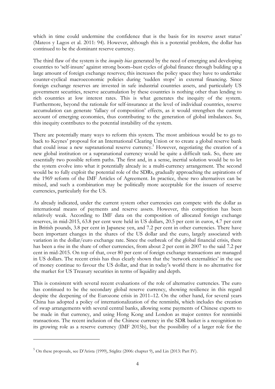which in time could undermine the confidence that is the basis for its reserve asset status' (Mateos y Lagos et al. 2011: 94). However, although this is a potential problem, the dollar has continued to be the dominant reserve currency.

The third flaw of the system is the *inequity bias* generated by the need of emerging and developing countries to 'self-insure' against strong boom–bust cycles of global finance through building up a large amount of foreign exchange reserves; this increases the policy space they have to undertake counter-cyclical macroeconomic policies during 'sudden stops' in external financing. Since foreign exchange reserves are invested in safe industrial countries assets, and particularly US government securities, reserve accumulation by these countries is nothing other than lending to rich countries at low interest rates. This is what generates the inequity of the system. Furthermore, beyond the rationale for self-insurance at the level of individual countries, reserve accumulation can generate 'fallacy of composition' effects, as it would strengthen the current account of emerging economies, thus contributing to the generation of global imbalances. So, this inequity contributes to the potential instability of the system.

There are potentially many ways to reform this system. The most ambitious would be to go to back to Keynes' proposal for an International Clearing Union or to create a global reserve bank that could issue a new supranational reserve currency.<sup>5</sup> However, negotiating the creation of a new global institution or a supranational currency would be quite a difficult task. So, there are essentially two possible reform paths. The first and, in a sense, inertial solution would be to let the system evolve into what it potentially already is: a multi-currency arrangement. The second would be to fully exploit the potential role of the SDRs, gradually approaching the aspirations of the 1969 reform of the IMF Articles of Agreement. In practice, these two alternatives can be mixed, and such a combination may be politically more acceptable for the issuers of reserve currencies, particularly for the US.

As already indicated, under the current system other currencies can compete with the dollar as international means of payments and reserve assets. However, this competition has been relatively weak. According to IMF data on the composition of allocated foreign exchange reserves, in mid-2015, 63.8 per cent were held in US dollars, 20.5 per cent in euros, 4.7 per cent in British pounds, 3.8 per cent in Japanese yen, and 7.2 per cent in other currencies. There have been important changes in the shares of the US dollar and the euro, largely associated with variation in the dollar/euro exchange rate. Since the outbreak of the global financial crisis, there has been a rise in the share of other currencies, from about 2 per cent in 2007 to the said 7.2 per cent in mid-2015. On top of that, over 80 per cent of foreign exchange transactions are managed in US dollars. The recent crisis has thus clearly shown that the 'network externalities' in the use of money continue to favour the US dollar, and that in today's world there is no alternative for the market for US Treasury securities in terms of liquidity and depth.

This is consistent with several recent evaluations of the role of alternative currencies. The euro has continued to be the secondary global reserve currency, showing resilience in this regard despite the deepening of the Eurozone crisis in 2011–12. On the other hand, for several years China has adopted a policy of internationalization of the renminbi, which includes the creation of swap arrangements with several central banks, allowing some payments of Chinese exports to be made in that currency, and using Hong Kong and London as major centres for renminbi transactions. The recent inclusion of the Chinese currency in the SDR basket is a recognition to its growing role as a reserve currency (IMF 2015b), but the possibility of a larger role for the

-

<sup>5</sup> On these proposals, see D'Arista (1999), Stiglitz (2006: chapter 9), and Lin (2013: Part IV).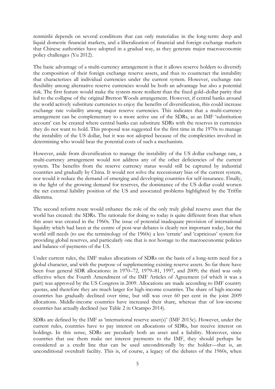renminbi depends on several conditions that can only materialize in the long-term: deep and liquid domestic financial markets, and a liberalization of financial and foreign exchange markets that Chinese authorities have adopted in a gradual way, as they generate major macroeconomic policy challenges (Yu 2012).

The basic advantage of a multi-currency arrangement is that it allows reserve holders to diversify the composition of their foreign exchange reserve assets, and thus to counteract the instability that characterizes all individual currencies under the current system. However, exchange rate flexibility among alternative reserve currencies would be both an advantage but also a potential risk. The first feature would make the system more resilient than the fixed gold–dollar parity that led to the collapse of the original Bretton Woods arrangement. However, if central banks around the world actively substitute currencies to enjoy the benefits of diversification, this could increase exchange rate volatility among major reserve currencies. This indicates that a multi-currency arrangement can be complementary to a more active use of the SDRs, as an IMF 'substitution account' can be created where central banks can substitute SDRs with the reserves in currencies they do not want to hold. This proposal was suggested for the first time in the 1970s to manage the instability of the US dollar, but it was not adopted because of the complexities involved in determining who would bear the potential costs of such a mechanism.

However, aside from diversification to manage the instability of the US dollar exchange rate, a multi-currency arrangement would not address any of the other deficiencies of the current system. The benefits from the reserve currency status would still be captured by industrial countries and gradually by China. It would not solve the recessionary bias of the current system, nor would it reduce the demand of emerging and developing countries for self-insurance. Finally, in the light of the growing demand for reserves, the dominance of the US dollar could worsen the net external liability position of the US and associated problems highlighted by the Triffin dilemma.

The second reform route would enhance the role of the only truly global reserve asset that the world has created: the SDRs. The rationale for doing so today is quite different from that when this asset was created in the 1960s. The issue of potential inadequate provision of international liquidity which had been at the centre of post-war debates is clearly not important today, but the world still needs (to use the terminology of the 1960s) a less 'erratic' and 'capricious' system for providing global reserves, and particularly one that is not hostage to the macroeconomic policies and balance-of-payments of the US.

Under current rules, the IMF makes allocations of SDRs on the basis of a long-term need for a global character, and with the purpose of supplementing existing reserve assets. So far there have been four general SDR allocations: in 1970–72, 1979–81, 1997, and 2009; the third was only effective when the Fourth Amendment of the IMF Articles of Agreement (of which it was a part) was approved by the US Congress in 2009. Allocations are made according to IMF country quotas, and therefore they are much larger for high-income countries. The share of high-income countries has gradually declined over time, but still was over 60 per cent in the joint 2009 allocations. Middle-income countries have increased their share, whereas that of low-income countries has actually declined (see Table 2 in Ocampo 2014).

SDRs are defined by the IMF as 'international reserve asset(s)' (IMF 2015c). However, under the current rules, countries have to pay interest on allocations of SDRs, but receive interest on holdings. In this sense, SDRs are peculiarly both an asset and a liability. Moreover, since countries that use them make net interest payments to the IMF, they should perhaps be considered as a credit line that can be used unconditionally by the holder—that is, an unconditional overdraft facility. This is, of course, a legacy of the debates of the 1960s, when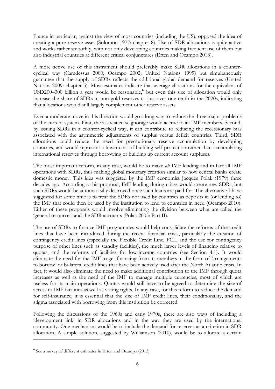France in particular, against the view of most countries (including the US), opposed the idea of creating a pure reserve asset (Solomon 1977: chapter 8). Use of SDR allocations is quite active and works rather smoothly, with not only developing countries making frequent use of them but also industrial countries at different critical conjunctures (Erten and Ocampo 2013).

A more active use of this instrument should preferably make SDR allocations in a countercyclical way (Camdessus 2000; Ocampo 2002; United Nations 1999) but simultaneously guarantee that the supply of SDRs reflects the additional global demand for reserves (United Nations 2009: chapter 5). Most estimates indicate that average allocations for the equivalent of USD200-300 billion a year would be reasonable,<sup>6</sup> but even this size of allocation would only increase the share of SDRs in non-gold reserves to just over one-tenth in the 2020s, indicating that allocations would still largely complement other reserve assets.

Even a moderate move in this direction would go a long way to reduce the three major problems of the current system. First, the associated seignorage would accrue to all IMF members. Second, by issuing SDRs in a counter-cyclical way, it can contribute to reducing the recessionary bias associated with the asymmetric adjustments of surplus versus deficit countries. Third, SDR allocations could reduce the need for precautionary reserve accumulation by developing countries, and would represent a lower cost of building self-protection rather than accumulating international reserves through borrowing or building up current account surpluses.

The most important reform, in any case, would be to make *all* IMF lending and in fact all IMF operations with SDRs, thus making global monetary creation similar to how central banks create domestic money. This idea was suggested by the IMF economist Jacques Polak (1979) three decades ago. According to his proposal, IMF lending during crises would create new SDRs, but such SDRs would be automatically destroyed once such loans are paid for. The alternative I have suggested for some time is to treat the SDRs not used by countries as deposits in (or lending to) the IMF that could then be used by the institution to lend to countries in need (Ocampo 2010). Either of these proposals would involve eliminating the division between what are called the 'general resources' and the SDR accounts (Polak 2005: Part II).

The use of SDRs to finance IMF programmes would help consolidate the reforms of the credit lines that have been introduced during the recent financial crisis, particularly the creation of contingency credit lines (especially the Flexible Credit Line, FCL, and the use for contingency purpose of other lines such as standby facilities), the much larger levels of financing relative to quotas, and the reforms of facilities for low-income countries (see Section 4.1). It would eliminate the need for the IMF to get financing from its members in the form of 'arrangements to borrow' or bi-lateral credit lines that have been actively used after the North Atlantic crisis. In fact, it would also eliminate the need to make additional contribution to the IMF through quota increases as well as the need of the IMF to manage multiple currencies, most of which are useless for its main operations. Quotas would still have to be agreed to determine the size of access to IMF facilities as well as voting rights. In any case, for this reform to reduce the demand for self-insurance, it is essential that the size of IMF credit lines, their conditionality, and the stigma associated with borrowing from this institution be corrected.

Following the discussions of the 1960s and early 1970s, there are also ways of including a 'development link' in SDR allocations and in the way they are used by the international community. One mechanism would be to include the demand for reserves as a criterion in SDR allocation. A simple solution, suggested by Williamson (2010), would be to allocate a certain

-

<sup>&</sup>lt;sup>6</sup> See a survey of different estimates in Erten and Ocampo (2013).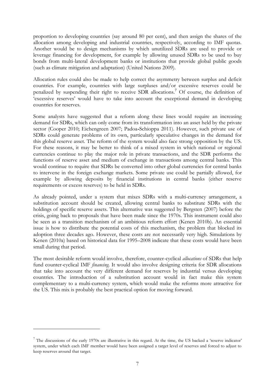proportion to developing countries (say around 80 per cent), and then assign the shares of the allocation among developing and industrial countries, respectively, according to IMF quotas. Another would be to design mechanisms by which unutilized SDRs are used to provide or leverage financing for development, for example by allowing unused SDRs to be used to buy bonds from multi-lateral development banks or institutions that provide global public goods (such as climate mitigation and adaptation) (United Nations 2009).

Allocation rules could also be made to help correct the asymmetry between surplus and deficit countries. For example, countries with large surpluses and/or excessive reserves could be penalized by suspending their right to receive SDR allocations.<sup>7</sup> Of course, the definition of 'excessive reserves' would have to take into account the exceptional demand in developing countries for reserves.

Some analysts have suggested that a reform along these lines would require an increasing demand for SDRs, which can only come from its transformation into an asset held by the private sector (Cooper 2010; Eichengreen 2007; Padoa**-**Schioppa 2011). However, such private use of SDRs could generate problems of its own, particularly speculative changes in the demand for this global reserve asset. The reform of the system would also face strong opposition by the US. For these reasons, it may be better to think of a mixed system in which national or regional currencies continue to play the major role in private transactions, and the SDR performs the functions of reserve asset and medium of exchange in transactions among central banks. This would continue to require that SDRs be converted into other global currencies for central banks to intervene in the foreign exchange markets. Some private use could be partially allowed, for example by allowing deposits by financial institutions in central banks (either reserve requirements or excess reserves) to be held in SDRs.

As already pointed, under a system that mixes SDRs with a multi-currency arrangement, a substitution account should be created, allowing central banks to substitute SDRs with the holdings of specific reserve assets. This alternative was suggested by Bergsten (2007) before the crisis, going back to proposals that have been made since the 1970s. This instrument could also be seen as a transition mechanism of an ambitious reform effort (Kenen 2010b). An essential issue is how to distribute the potential costs of this mechanism, the problem that blocked its adoption three decades ago. However, these costs are not necessarily very high. Simulations by Kenen (2010a) based on historical data for 1995–2008 indicate that these costs would have been small during that period.

The most desirable reform would involve, therefore, counter-cyclical *allocations* of SDRs that help fund counter-cyclical IMF *financing*. It would also involve designing criteria for SDR allocations that take into account the very different demand for reserves by industrial versus developing countries. The introduction of a substitution account would in fact make this system complementary to a multi-currency system, which would make the reforms more attractive for the US. This mix is probably the best practical option for moving forward.

-

 $^7$  The discussions of the early 1970s are illustrative in this regard. At the time, the US backed a 'reserve indicator' system, under which each IMF member would have been assigned a target level of reserves and forced to adjust to keep reserves around that target.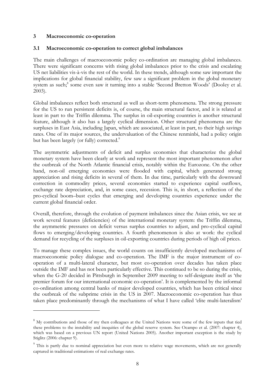#### **3 Macroeconomic co-operation**

<u>.</u>

#### **3.1 Macroeconomic co-operation to correct global imbalances**

The main challenges of macroeconomic policy co-ordination are managing global imbalances. There were significant concerns with rising global imbalances prior to the crisis and escalating US net liabilities vis-à-vis the rest of the world. In these trends, although some saw important the implications for global financial stability, few saw a significant problem in the global monetary system as such;<sup>8</sup> some even saw it turning into a stable 'Second Bretton Woods' (Dooley et al. 2003).

Global imbalances reflect both structural as well as short-term phenomena. The strong pressure for the US to run persistent deficits is, of course, the main structural factor, and it is related at least in part to the Triffin dilemma. The surplus in oil-exporting countries is another structural feature, although it also has a largely cyclical dimension. Other structural phenomena are the surpluses in East Asia, including Japan, which are associated, at least in part, to their high savings rates. One of its major sources, the undervaluation of the Chinese renminbi, had a policy origin but has been largely (or fully) corrected.<sup>9</sup>

The asymmetric adjustments of deficit and surplus economies that characterize the global monetary system have been clearly at work and represent the most important phenomenon after the outbreak of the North Atlantic financial crisis, notably within the Eurozone. On the other hand, non-oil emerging economies were flooded with capital, which generated strong appreciation and rising deficits in several of them. In due time, particularly with the downward correction in commodity prices, several economies started to experience capital outflows, exchange rate depreciation, and, in some cases, recession. This is, in short, a reflection of the pro-cyclical boom–bust cycles that emerging and developing countries experience under the current global financial order.

Overall, therefore, through the evolution of payment imbalances since the Asian crisis, we see at work several features (deficiencies) of the international monetary system: the Triffin dilemma, the asymmetric pressures on deficit versus surplus countries to adjust, and pro-cyclical capital flows to emerging/developing countries. A fourth phenomenon is also at work: the cyclical demand for recycling of the surpluses in oil-exporting countries during periods of high oil prices.

To manage these complex issues, the world counts on insufficiently developed mechanisms of macroeconomic policy dialogue and co-operation. The IMF is the major instrument of cooperation of a multi-lateral character, but most co-operation over decades has taken place outside the IMF and has not been particularly effective. This continued to be so during the crisis, when the G-20 decided in Pittsburgh in September 2009 meeting to self-designate itself as 'the premier forum for our international economic co-operation'. It is complemented by the informal co-ordination among central banks of major developed countries, which has been critical since the outbreak of the subprime crisis in the US in 2007. Macroeconomic co-operation has thus taken place predominantly through the mechanisms of what I have called 'elite multi-lateralism'

<sup>&</sup>lt;sup>8</sup> My contributions and those of my then colleagues at the United Nations were some of the few inputs that tied these problems to the instability and inequities of the global reserve system. See Ocampo et al. (2007: chapter 4), which was based on a previous UN report (United Nations 2005). Another important exception is the study by Stiglitz (2006: chapter 9).

<sup>&</sup>lt;sup>9</sup> This is partly due to nominal appreciation but even more to relative wage movements, which are not generally captured in traditional estimations of real exchange rates.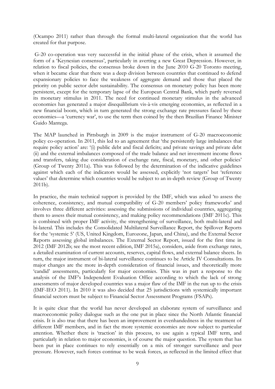(Ocampo 2011) rather than through the formal multi-lateral organization that the world has created for that purpose.

G-20 co-operation was very successful in the initial phase of the crisis, when it assumed the form of a 'Keynesian consensus', particularly in averting a new Great Depression. However, in relation to fiscal policies, the consensus broke down in the June 2010 G-20 Toronto meeting, when it became clear that there was a deep division between countries that continued to defend expansionary policies to face the weakness of aggregate demand and those that placed the priority on public sector debt sustainability. The consensus on monetary policy has been more persistent, except for the temporary lapse of the European Central Bank, which partly reversed its monetary stimulus in 2011. The need for continued monetary stimulus in the advanced economies has generated a major disequilibrium vis-à-vis emerging economies, as reflected in a new financial boom, which in turn generated the strong exchange rate pressures faced by these economies—a 'currency war', to use the term then coined by the then Brazilian Finance Minister Guido Mantega.

The MAP launched in Pittsburgh in 2009 is the major instrument of G-20 macroeconomic policy co-operation. In 2011, this led to an agreement that 'the persistently large imbalances that require policy action' are: '(i) public debt and fiscal deficits; and private savings and private debt (ii) and the external imbalances composed of the trade balance and net investment income flows and transfers, taking due consideration of exchange rate, fiscal, monetary, and other policies' (Group of Twenty 2011a). This was followed by the determination of the indicative guidelines against which each of the indicators would be assessed, explicitly 'not targets' but 'reference values' that determine which countries would be subject to an in-depth review (Group of Twenty 2011b).

In practice, the main technical support is provided by the IMF, which was asked 'to assess the coherence, consistency, and mutual compatibility of G-20 members' policy frameworks' and involves three different activities: assessing the submissions of individual countries, aggregating them to assess their mutual consistency, and making policy recommendations (IMF 2011c). This is combined with proper IMF activity, the strengthening of surveillance, both multi-lateral and bi-lateral. This includes the Consolidated Multilateral Surveillance Report, the Spillover Reports for the 'systemic 5' (US, United Kingdom, Eurozone, Japan, and China), and the External Sector Reports assessing global imbalances. The External Sector Report, issued for the first time in 2012 (IMF 2012b; see the most recent edition, IMF 2015a), considers, aside from exchange rates, a detailed examination of current accounts, reserves, capital flows, and external balance sheets. In turn, the major instrument of bi-lateral surveillance continues to be Article IV Consultations. Its major changes are the more in-depth consideration of financial issues, and theoretically more 'candid' assessments, particularly for major economies. This was in part a response to the analysis of the IMF's Independent Evaluation Office according to which the lack of strong assessments of major developed countries was a major flaw of the IMF in the run up to the crisis (IMF-IEO 2011). In 2010 it was also decided that 25 jurisdictions with systemically important financial sectors must be subject to Financial Sector Assessment Programs (FSAPs).

It is quite clear that the world has never developed an elaborate system of surveillance and macroeconomic policy dialogue such as the one put in place since the North Atlantic financial crisis. It is also true that there has been an improvement in evenhandedness in the treatment of different IMF members, and in fact the more systemic economies are now subject to particular attention. Whether there is 'traction' in this process, to use again a typical IMF term, and particularly in relation to major economies, is of course the major question. The system that has been put in place continues to rely essentially on a mix of stronger surveillance and peer pressure. However, such forces continue to be weak forces, as reflected in the limited effect that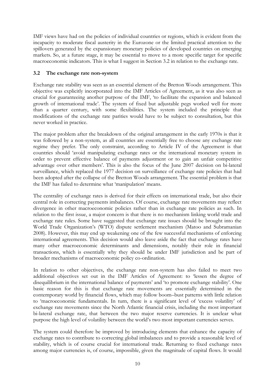IMF views have had on the policies of individual countries or regions, which is evident from the incapacity to moderate fiscal austerity in the Eurozone or the limited practical attention to the spillovers generated by the expansionary monetary policies of developed countries on emerging markets. So, at a future stage, it may be essential to move to a more specific target for specific macroeconomic indicators. This is what I suggest in Section 3.2 in relation to the exchange rate.

# **3.2 The exchange rate non-system**

Exchange rate stability was seen as an essential element of the Bretton Woods arrangement. This objective was explicitly incorporated into the IMF Articles of Agreement, as it was also seen as crucial for guaranteeing another purpose of the IMF, 'to facilitate the expansion and balanced growth of international trade'. The system of fixed but adjustable pegs worked well for more than a quarter century, with some flexibilities. The system included the principle that modifications of the exchange rate parities would have to be subject to consultation, but this never worked in practice.

The major problem after the breakdown of the original arrangement in the early 1970s is that it was followed by a non-system, as all countries are essentially free to choose any exchange rate regime they prefer. The only constraint, according to Article IV of the Agreement is that countries should 'avoid manipulating exchange rates or the international monetary system in order to prevent effective balance of payments adjustment or to gain an unfair competitive advantage over other members'. This is also the focus of the June 2007 decision on bi-lateral surveillance, which replaced the 1977 decision on surveillance of exchange rate policies that had been adopted after the collapse of the Bretton Woods arrangement. The essential problem is that the IMF has failed to determine what 'manipulation' means.

The centrality of exchange rates is derived for their effects on international trade, but also their central role in correcting payments imbalances. Of course, exchange rate movements may reflect divergence in other macroeconomic policies rather than in exchange rate policies as such. In relation to the first issue, a major concern is that there is no mechanism linking world trade and exchange rate rules. Some have suggested that exchange rate issues should be brought into the World Trade Organization's (WTO) dispute settlement mechanism (Matoo and Subramanian 2008). However, this may end up weakening one of the few successful mechanisms of enforcing international agreements. This decision would also leave aside the fact that exchange rates have many other macroeconomic determinants and dimensions, notably their role in financial transactions, which is essentially why they should be under IMF jurisdiction and be part of broader mechanisms of macroeconomic policy co-ordination.

In relation to other objectives, the exchange rate non-system has also failed to meet two additional objectives set out in the IMF Articles of Agreement: to 'lessen the degree of disequilibrium in the international balance of payments' and 'to promote exchange stability'. One basic reason for this is that exchange rate movements are essentially determined in the contemporary world by financial flows, which may follow boom–bust patterns with little relation to 'macroeconomic fundamentals. In turn, there is a significant level of 'excess volatility' of exchange rate movements since the North Atlantic financial crisis, including the most important bi-lateral exchange rate, that between the two major reserve currencies. It is unclear what purpose the high level of volatility between the world's two most important currencies serves.

The system could therefore be improved by introducing elements that enhance the capacity of exchange rates to contribute to correcting global imbalances and to provide a reasonable level of stability, which is of course crucial for international trade. Returning to fixed exchange rates among major currencies is, of course, impossible, given the magnitude of capital flows. It would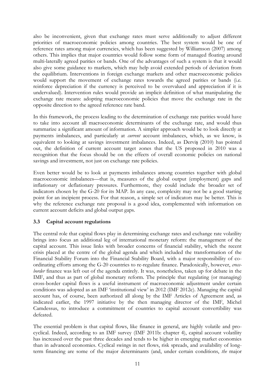also be inconvenient, given that exchange rates must serve additionally to adjust different priorities of macroeconomic policies among countries. The best system would be one of reference rates among major currencies, which has been suggested by Williamson (2007) among others. This implies that major countries would follow some form of managed floating around multi-laterally agreed parities or bands. One of the advantages of such a system is that it would also give some guidance to markets, which may help avoid extended periods of deviation from the equilibrium. Interventions in foreign exchange markets and other macroeconomic policies would support the movement of exchange rates towards the agreed parities or bands (i.e. reinforce depreciation if the currency is perceived to be overvalued and appreciation if it is undervalued). Intervention rules would provide an implicit definition of what manipulating the exchange rate means: adopting macroeconomic policies that move the exchange rate in the opposite direction to the agreed reference rate band.

In this framework, the process leading to the determination of exchange rate parities would have to take into account all macroeconomic determinants of the exchange rate, and would thus summarize a significant amount of information. A simpler approach would be to look directly at payments imbalances, and particularly at *current* account imbalances, which, as we know, is equivalent to looking at savings investment imbalances. Indeed, as Derviş (2010) has pointed out, the definition of current account target zones that the US proposed in 2010 was a recognition that the focus should be on the effects of overall economic policies on national savings and investment, not just on exchange rate policies.

Even better would be to look at payments imbalances among countries together with global macroeconomic imbalances—that is, measures of the global output (employment) gaps and inflationary or deflationary pressures. Furthermore, they could include the broader set of indicators chosen by the G-20 for its MAP. In any case, complexity may not be a good starting point for an incipient process. For that reason, a simple set of indicators may be better. This is why the reference exchange rate proposal is a good idea, complemented with information on current account deficits and global output gaps.

### **3.3 Capital account regulations**

The central role that capital flows play in determining exchange rates and exchange rate volatility brings into focus an additional leg of international monetary reform: the management of the capital account. This issue links with broader concerns of financial stability, which the recent crisis placed at the centre of the global agenda and which included the transformation of the Financial Stability Forum into the Financial Stability Board, with a major responsibility of coordinating efforts among the G-20 countries to re-regulate finance. Paradoxically, however, *crossborder* finance was left out of the agenda entirely. It was, nonetheless, taken up for debate in the IMF, and thus as part of global monetary reform. The principle that regulating (or managing) cross-border capital flows is a useful instrument of macroeconomic adjustment under certain conditions was adopted as an IMF 'institutional view' in 2012 (IMF 2012c). Managing the capital account has, of course, been authorized all along by the IMF Articles of Agreement and, as indicated earlier, the 1997 initiative by the then managing director of the IMF, Michel Camdessus, to introduce a commitment of countries to capital account convertibility was defeated.

The essential problem is that capital flows, like finance in general, are highly volatile and procyclical. Indeed, according to an IMF survey (IMF 2011b: chapter 4), capital account volatility has increased over the past three decades and tends to be higher in emerging market economies than in advanced economies. Cyclical swings in net flows, risk spreads, and availability of longterm financing are some of the major determinants (and, under certain conditions, *the* major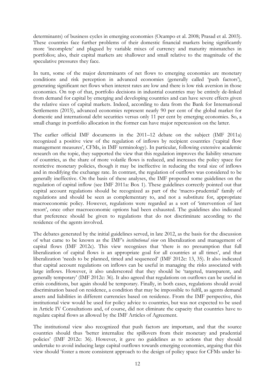determinants) of business cycles in emerging economies (Ocampo et al. 2008; Prasad et al. 2003). These countries face further problems of their domestic financial markets being significantly more 'incomplete' and plagued by variable mixes of currency and maturity mismatches in portfolios; also, their capital markets are shallower and small relative to the magnitude of the speculative pressures they face.

In turn, some of the major determinants of net flows to emerging economies are monetary conditions and risk perception in advanced economies (generally called 'push factors'), generating significant net flows when interest rates are low and there is low risk aversion in those economies. On top of that, portfolio decisions in industrial countries may be entirely de-linked from demand for capital by emerging and developing countries and can have severe effects given the relative sizes of capital markets. Indeed, according to data from the Bank for International Settlements (2015), advanced economies represent nearly 90 per cent of the global market for domestic and international debt securities versus only 11 per cent by emerging economies. So, a small change in portfolio allocation in the former can have major repercussion on the latter.

The earlier official IMF documents in the 2011–12 debate on the subject (IMF 2011a) recognized a positive view of the regulation of inflows by recipient countries ('capital flow management measures', CFMs, in IMF terminology). In particular, following extensive academic research on the topic, they supported the view that this regulation improves the liability structure of countries, as the share of more volatile flows is reduced, and increases the policy space for restrictive monetary policies, though it may be ineffective in reducing the total size of inflows and in modifying the exchange rate. In contrast, the regulation of outflows was considered to be generally ineffective. On the basis of these analyses, the IMF proposed some guidelines on the regulation of capital inflow (see IMF 2011a: Box 1). These guidelines correctly pointed out that capital account regulations should be recognized as part of the 'macro-prudential' family of regulations and should be seen as complementary to, and not a substitute for, appropriate macroeconomic policy. However, regulations were regarded as a sort of 'intervention of last resort', once other macroeconomic options had been exhausted. The guidelines also indicated that preference should be given to regulations that do not discriminate according to the residence of the agents involved.

The debates generated by the initial guidelines served, in late 2012, as the basis for the discussion of what came to be known as the IMF's *institutional view* on liberalization and management of capital flows (IMF 2012c). This view recognizes that 'there is no presumption that full liberalization of capital flows is an appropriate goal for all countries at all times', and that liberalization 'needs to be planned, timed and sequenced' (IMF 2012c: 13, 35). It also indicated that capital account regulations on inflows can be useful in managing the risks associated with large inflows. However, it also underscored that they should be 'targeted, transparent, and generally temporary' (IMF 2012c: 36). It also agreed that regulations on outflows can be useful in crisis conditions, but again should be temporary. Finally, in both cases, regulations should avoid discrimination based on residence, a condition that may be impossible to fulfil, as agents demand assets and liabilities in different currencies based on residence. From the IMF perspective, this institutional view would be used for policy advice to countries, but was not expected to be used in Article IV Consultations and, of course, did not eliminate the capacity that countries have to regulate capital flows as allowed by the IMF Articles of Agreement.

The institutional view also recognized that push factors are important, and that the source countries should thus 'better internalize the spillovers from their monetary and prudential policies' (IMF 2012c: 36). However, it gave no guidelines as to actions that they should undertake to avoid inducing large capital outflows towards emerging economies, arguing that this view should 'foster a more consistent approach to the design of policy space for CFMs under bi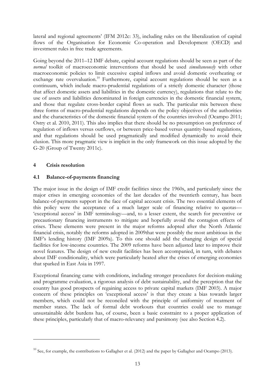lateral and regional agreements' (IFM 2012c: 33), including rules on the liberalization of capital flows of the Organisation for Economic Co-operation and Development (OECD) and investment rules in free trade agreements.

Going beyond the 2011–12 IMF debate, capital account regulations should be seen as part of the *normal* toolkit of macroeconomic interventions that should be used *simultaneously* with other macroeconomic policies to limit excessive capital inflows and avoid domestic overheating or exchange rate overvaluation.<sup>10</sup> Furthermore, capital account regulations should be seen as a continuum, which include macro-prudential regulations of a strictly domestic character (those that affect domestic assets and liabilities in the domestic currency), regulations that relate to the use of assets and liabilities denominated in foreign currencies in the domestic financial system, and those that regulate cross-border capital flows as such. The particular mix between these three forms of macro-prudential regulations depends on the policy objectives of the authorities and the characteristics of the domestic financial system of the countries involved (Ocampo 2011; Ostry et al. 2010, 2011). This also implies that there should be no presumption on preference of regulation of inflows versus outflows, or between price-based versus quantity-based regulations, and that regulations should be used pragmatically and modified dynamically to avoid their elusion. This more pragmatic view is implicit in the only framework on this issue adopted by the G-20 (Group of Twenty 2011c).

# **4 Crisis resolution**

-

# **4.1 Balance-of-payments financing**

The major issue in the design of IMF credit facilities since the 1960s, and particularly since the major crises in emerging economies of the last decades of the twentieth century, has been balance-of-payments support in the face of capital account crisis. The two essential elements of this policy were the acceptance of a much larger scale of financing relative to quotas— 'exceptional access' in IMF terminology—and, to a lesser extent, the search for preventive or precautionary financing instruments to mitigate and hopefully avoid the contagion effects of crises. These elements were present in the major reforms adopted after the North Atlantic financial crisis, notably the reforms adopted in 2009that were possibly the most ambitious in the IMF's lending history (IMF 2009a). To this one should add the changing design of special facilities for low-income countries. The 2009 reforms have been adjusted later to improve their novel features. The design of new credit facilities has been accompanied, in turn, with debates about IMF conditionality, which were particularly heated after the crises of emerging economies that sparked in East Asia in 1997.

Exceptional financing came with conditions, including stronger procedures for decision-making and programme evaluation, a rigorous analysis of debt sustainability, and the perception that the country has good prospects of regaining access to private capital markets (IMF 2003). A major concern of these principles on 'exceptional access' is that they create a bias towards larger members, which could not be reconciled with the principle of uniformity of treatment of member states. The lack of formal debt workouts that countries could use to manage unsustainable debt burdens has, of course, been a basic constraint to a proper application of these principles, particularly that of macro-relevancy and parsimony (see also Section 4.2).

 $^{10}$  See, for example, the contributions to Gallagher et al. (2012) and the paper by Gallagher and Ocampo (2013).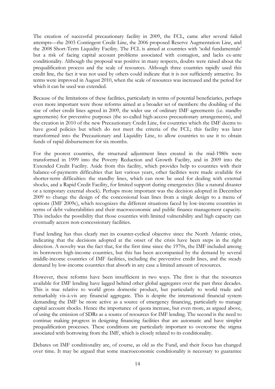The creation of successful precautionary facility in 2009, the FCL, came after several failed attempts—the 2003 Contingent Credit Line, the 2006 proposed Reserve Augmentation Line, and the 2008 Short-Term Liquidity Facility. The FCL is aimed at countries with 'solid fundamentals' but a risk of facing capital account problems associated with contagion, and lacks ex-ante conditionality. Although the proposal was positive in many respects, doubts were raised about the prequalification process and the scale of resources. Although three countries rapidly used this credit line, the fact it was not used by others could indicate that it is not sufficiently attractive. Its terms were improved in August 2010, when the scale of resources was increased and the period for which it can be used was extended.

Because of the limitations of these facilities, particularly in terms of potential beneficiaries, perhaps even more important were those reforms aimed at a broader set of members: the doubling of the size of other credit lines agreed in 2009, the wider use of ordinary IMF agreements (i.e. standby agreements) for preventive purposes (the so-called high-access precautionary arrangements), and the creation in 2010 of the new Precautionary Credit Line, for countries which the IMF deems to have good policies but which do not meet the criteria of the FCL; this facility was later transformed into the Precautionary and Liquidity Line, to allow countries to use it to obtain funds of rapid disbursement for six months.

For the poorest countries, the structural adjustment lines created in the mid-1980s were transformed in 1999 into the Poverty Reduction and Growth Facility, and in 2009 into the Extended Credit Facility. Aside from this facility, which provides help to countries with their balance-of-payments difficulties that last various years, other facilities were made available for shorter-term difficulties: the standby lines, which can now be used for dealing with external shocks, and a Rapid Credit Facility, for limited support during emergencies (like a natural disaster or a temporary external shock). Perhaps more important was the decision adopted in December 2009 to change the design of the concessional loan lines from a single design to a menu of options (IMF 2009c), which recognizes the different situations faced by low-income countries in terms of debt vulnerabilities and their macroeconomic and public finance management capacity. This includes the possibility that those countries with limited vulnerability and high capacity can eventually access non-concessionary facilities.

Fund lending has thus clearly met its counter-cyclical objective since the North Atlantic crisis, indicating that the decisions adopted at the onset of the crisis have been steps in the right direction. A novelty was the fact that, for the first time since the 1970s, the IMF included among its borrowers high-income countries, but this has been accompanied by the demand by several middle-income countries of IMF facilities, including the preventive credit lines, and the steady demand by low-income countries that absorb in any case a limited amount of resources.

However, these reforms have been insufficient in two ways. The first is that the resources available for IMF lending have lagged behind other global aggregates over the past three decades. This is true relative to world gross domestic product, but particularly to world trade and remarkably vis-à-vis any financial aggregate. This is despite the international financial system demanding the IMF be more active as a source of emergency financing, particularly to manage capital account shocks. Hence the importance of quota increase, but even more, as argued above, of using the emission of SDRs as a source of resources for IMF lending. The second is the need to continue making progress in designing financing facilities that are automatic and have simpler prequalification processes. These conditions are particularly important to overcome the stigma associated with borrowing from the IMF, which is closely related to its conditionality.

Debates on IMF conditionality are, of course, as old as the Fund, and their focus has changed over time. It may be argued that some macroeconomic conditionality is necessary to guarantee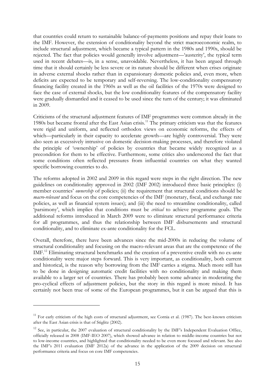that countries could return to sustainable balance-of-payments positions and repay their loans to the IMF. However, the extension of conditionality beyond the strict macroeconomic realm, to include structural adjustment, which became a typical pattern in the 1980s and 1990s, should be rejected. The fact that policies would generally involve adjustment—'austerity', the typical term used in recent debates—is, in a sense, unavoidable. Nevertheless, it has been argued through time that it should certainly be less severe or its nature should be different when crises originate in adverse external shocks rather than in expansionary domestic policies and, even more, when deficits are expected to be temporary and self-reversing. The low-conditionality compensatory financing facility created in the 1960s as well as the oil facilities of the 1970s were designed to face the case of external shocks, but the low conditionality features of the compensatory facility were gradually dismantled and it ceased to be used since the turn of the century; it was eliminated in 2009.

Criticisms of the structural adjustment features of IMF programmes were common already in the 1980s but became frontal after the East Asian crisis.<sup>11</sup> The primary criticism was that the features were rigid and uniform, and reflected orthodox views on economic reforms, the effects of which—particularly in their capacity to accelerate growth—are highly controversial. They were also seen as excessively intrusive on domestic decision-making processes, and therefore violated the principle of 'ownership' of policies by countries that became widely recognized as a precondition for them to be effective. Furthermore, some critics also underscored the fact that some conditions often reflected pressures from influential countries on what they wanted specific borrowing countries to do.

The reforms adopted in 2002 and 2009 in this regard were steps in the right direction. The new guidelines on conditionality approved in 2002 (IMF 2002) introduced three basic principles: (i) member countries' *ownership* of policies; (ii) the requirement that structural conditions should be *macro-relevant* and focus on the core competencies of the IMF (monetary, fiscal, and exchange rate policies, as well as financial system issues); and (iii) the need to streamline conditionality, called 'parsimony', which implies that conditions must be *critical* to achieve programme goals. The additional reforms introduced in March 2009 were to eliminate structural performance criteria for all programmes, and thus the relationship between IMF disbursements and structural conditionality, and to eliminate ex-ante conditionality for the FCL.

Overall, therefore, there have been advances since the mid-2000s in reducing the volume of structural conditionality and focusing on the macro-relevant areas that are the competence of the IMF.<sup>12</sup> Eliminating structural benchmarks and the creation of a preventive credit with no ex-ante conditionality were major steps forward. This is very important, as conditionality, both current and historical, is the reason why borrowing from the IMF carries a stigma. Much more still has to be done in designing automatic credit facilities with no conditionality and making them available to a larger set of countries. There has probably been some advance in moderating the pro-cyclical effects of adjustment policies, but the story in this regard is more mixed. It has certainly not been true of some of the European programmes, but it can be argued that this is

<u>.</u>

<sup>&</sup>lt;sup>11</sup> For early criticism of the high costs of structural adjustment, see Cornia et al. (1987). The best-known criticism after the East Asian crisis is that of Stiglitz (2002).

 $12$  See, in particular, the 2007 evaluation of structural conditionality by the IMF's Independent Evaluation Office, officially released in 2008 (IMF-IEO 2007), which showed advance in relation to middle-income countries but not to low-income countries, and highlighted that conditionality needed to be even more focused and relevant. See also the IMF's 2011 evaluation (IMF 2012a) of the advance in the application of the 2009 decision on structural performance criteria and focus on core IMF competencies.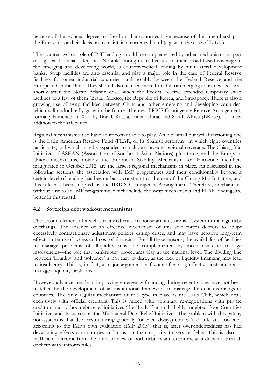because of the reduced degrees of freedom that countries have because of their membership in the Eurozone or their decision to maintain a currency board (e.g. as in the case of Latvia).

The counter-cyclical role of IMF lending should be complemented by other mechanisms, as part of a global financial safety net. Notable among them, because of their broad-based coverage in the emerging and developing world, is counter-cyclical lending by multi-lateral development banks. Swap facilities are also essential and play a major role in the case of Federal Reserve facilities for other industrial countries, and notably between the Federal Reserve and the European Central Bank. They should also be used more broadly for emerging countries, as it was shortly after the North Atlantic crisis when the Federal reserve extended temporary swap facilities to a few of them (Brazil, Mexico, the Republic of Korea, and Singapore). There is also a growing use of swap facilities between China and other emerging and developing countries, which will undoubtedly grow in the future. The new BRICS Contingency Reserve Arrangement, formally launched in 2015 by Brazil, Russia, India, China, and South Africa (BRICS), is a new addition to the safety net.

Regional mechanisms also have an important role to play. An old, small but well-functioning one is the Latin American Reserve Fund (FLAR, of its Spanish acronym), in which eight countries participate, and which may be expanded to include a broader regional coverage. The Chiang Mai Initiative of ASEAN (Association of Southeast Asian Nations) plus three, and the European Union mechanisms, notably the European Stability Mechanism for Eurozone members inaugurated in October 2012, are the largest regional mechanisms in place. As discussed in the following sections, the association with IMF programmes and their conditionality beyond a certain level of lending has been a basic constraint to the use of the Chiang Mai Initiative, and this rule has been adopted by the BRICS Contingency Arrangement. Therefore, mechanisms without a tie to an IMF programme, which include the swap mechanisms and FLAR lending, are better in this regard.

### **4.2 Sovereign debt workout mechanisms**

The second element of a well-structured crisis response architecture is a system to manage debt overhangs. The absence of an effective mechanism of this sort forces debtors to adopt excessively contractionary adjustment policies during crises, and may have negative long-term effects in terms of access and cost of financing. For all these reasons, the availability of facilities to manage problems of illiquidity must be complemented by mechanisms to manage insolvencies—the role that bankruptcy procedures play at the national level. The dividing line between 'liquidity' and 'solvency' is not easy to draw, as the lack of liquidity financing may lead to insolvency. This is, in fact, a major argument in favour of having effective instruments to manage illiquidity problems.

However, advances made in improving emergency financing during recent crises have not been matched by the development of an institutional framework to manage the debt overhangs of countries. The only regular mechanism of this type in place is the Paris Club, which deals exclusively with official creditors. This is mixed with voluntary re-negotiations with private creditors and ad hoc debt relief initiatives (the Brady Plan and Highly Indebted Poor Countries Initiative, and its successor, the Multilateral Debt Relief Initiative). The problem with this patchy non-system is that debt restructuring generally (or even always) comes 'too little and too late', according to the IMF's own evaluation (IMF 2013), that is, after over-indebtedness has had devastating effects on countries and thus on their capacity to service debts. This is also an inefficient outcome from the point of view of both debtors and creditors, as it does not treat all of them with uniform rules.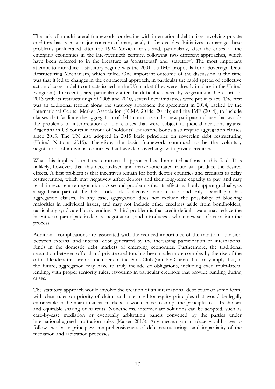The lack of a multi-lateral framework for dealing with international debt crises involving private creditors has been a major concern of many analysts for decades. Initiatives to manage these problems proliferated after the 1994 Mexican crisis and, particularly, after the crises of the emerging economies in the late-twentieth century, following two different approaches, which have been referred to in the literature as 'contractual' and 'statutory'. The most important attempt to introduce a statutory regime was the 2001–03 IMF proposals for a Sovereign Debt Restructuring Mechanism, which failed. One important outcome of the discussion at the time was that it led to changes in the contractual approach, in particular the rapid spread of collective action clauses in debt contracts issued in the US market (they were already in place in the United Kingdom). In recent years, particularly after the difficulties faced by Argentina in US courts in 2013 with its restructurings of 2005 and 2010, several new initiatives were put in place. The first was an additional reform along the statutory approach: the agreement in 2014, backed by the International Capital Market Association (ICMA 2014a, 2014b) and the IMF (2014), to include clauses that facilitate the aggregation of debt contracts and a new pari passu clause that avoids the problems of interpretation of old clauses that were subject to judicial decisions against Argentina in US courts in favour of 'holdouts'. Eurozone bonds also require aggregation clauses since 2013. The UN also adopted in 2015 basic principles on sovereign debt restructuring (United Nations 2015). Therefore, the basic framework continued to be the voluntary negotiations of individual countries that have debt overhangs with private creditors.

What this implies is that the contractual approach has dominated actions in this field. It is unlikely, however, that this decentralized and market-orientated route will produce the desired effects. A first problem is that incentives remain for both debtor countries and creditors to delay restructurings, which may negatively affect debtors and their long-term capacity to pay, and may result in recurrent re-negotiations. A second problem is that its effects will only appear gradually, as a significant part of the debt stock lacks collective action clauses and only a small part has aggregation clauses. In any case, aggregation does not exclude the possibility of blocking majorities in individual issues, and may not include other creditors aside from bondholders, particularly syndicated bank lending. A third problem is that credit default swaps may reduce the incentive to participate in debt re-negotiations, and introduces a whole new set of actors into the process.

Additional complications are associated with the reduced importance of the traditional division between external and internal debt generated by the increasing participation of international funds in the domestic debt markets of emerging economies. Furthermore, the traditional separation between official and private creditors has been made more complex by the rise of the official lenders that are not members of the Paris Club (notably China). This may imply that, in the future, aggregation may have to truly include *all* obligations, including even multi-lateral lending, with proper seniority rules, favouring in particular creditors that provide funding during crises.

The statutory approach would involve the creation of an international debt court of some form, with clear rules on priority of claims and inter-creditor equity principles that would be legally enforceable in the main financial markets. It would have to adopt the principles of a fresh start and equitable sharing of haircuts. Nonetheless, intermediate solutions can be adopted, such as case-by-case mediation or eventually arbitration panels convened by the parties under international-agreed arbitration rules (Kaiser 2013). Any mechanism in place would have to follow two basic principles: comprehensiveness of debt restructurings, and impartiality of the mediation and arbitration processes.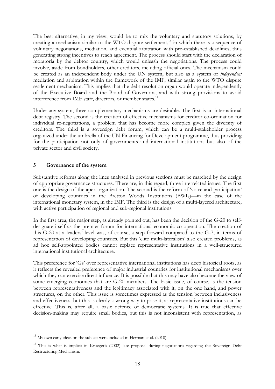The best alternative, in my view, would be to mix the voluntary and statutory solutions, by creating a mechanism similar to the WTO dispute settlement,<sup>13</sup> in which there is a sequence of voluntary negotiations, mediation, and eventual arbitration with pre-established deadlines, thus generating strong incentives to reach agreement. The process should start with the declaration of moratoria by the debtor country, which would unleash the negotiations. The process could involve, aside from bondholders, other creditors, including official ones. The mechanism could be created as an independent body under the UN system, but also as a system of *independent* mediation and arbitration within the framework of the IMF, similar again to the WTO dispute settlement mechanism. This implies that the debt resolution organ would operate independently of the Executive Board and the Board of Governors, and with strong provisions to avoid interference from IMF staff, directors, or member states.<sup>1</sup>

Under any system, three complementary mechanisms are desirable. The first is an international debt registry. The second is the creation of effective mechanisms for creditor co-ordination for individual re-negotiations, a problem that has become more complex given the diversity of creditors. The third is a sovereign debt forum, which can be a multi-stakeholder process organized under the umbrella of the UN Financing for Development programme, thus providing for the participation not only of governments and international institutions but also of the private sector and civil society.

### **5 Governance of the system**

<u>.</u>

Substantive reforms along the lines analysed in previous sections must be matched by the design of appropriate governance structures. There are, in this regard, three interrelated issues. The first one is the design of the apex organization. The second is the reform of 'voice and participation' of developing countries in the Bretton Woods Institutions (BWIs)—in the case of the international monetary system, in the IMF. The third is the design of a multi-layered architecture, with active participation of regional and sub-regional institutions.

In the first area, the major step, as already pointed out, has been the decision of the G-20 to selfdesignate itself as the premier forum for international economic co-operation. The creation of this G-20 at a leaders' level was, of course, a step forward compared to the G-7, in terms of representation of developing countries. But this 'elite multi-lateralism' also created problems, as ad hoc self-appointed bodies cannot replace representative institutions in a well-structured international institutional architecture.

This preference for 'Gs' over representative international institutions has deep historical roots, as it reflects the revealed preference of major industrial countries for institutional mechanisms over which they can exercise direct influence. It is possible that this may have also become the view of some emerging economies that are G-20 members. The basic issue, of course, is the tension between representativeness and the legitimacy associated with it, on the one hand, and power structures, on the other. This issue is sometimes expressed as the tension between inclusiveness and effectiveness, but this is clearly a wrong way to pose it, as representative institutions can be effective. This is, after all, a basic defence of democratic systems. It is true that effective decision-making may require small bodies, but this is not inconsistent with representation, as

 $13$  My own early ideas on the subject were included in Herman et al. (2010).

<sup>&</sup>lt;sup>14</sup> This is what is implicit in Krueger's (2002) late proposal during negotiations regarding the Sovereign Debt Restructuring Mechanism.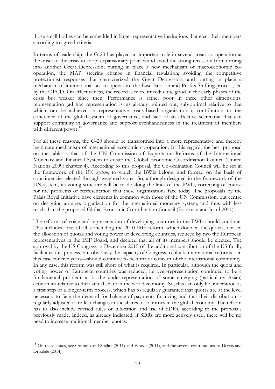those small bodies can be embedded in larger representative institutions that elect their members according to agreed criteria.

In terms of leadership, the G-20 has played an important role in several areas: co-operation at the onset of the crisis to adopt expansionary policies and avoid the strong recession from turning into another Great Depression; putting in place a new mechanism of macroeconomic cooperation, the MAP; steering change in financial regulation; avoiding the competitive protectionist responses that characterized the Great Depression; and putting in place a mechanism of international tax co-operation, the Base Erosion and Profits Shifting process, led by the OECD. On effectiveness, the record is more mixed: quite good in the early phases of the crisis but weaker since then. Performance is rather poor in three other dimensions: representation (ad hoc representation is, as already pointed out, sub-optimal relative to that which can be achieved in representative treaty-based organizations), contribution to the coherence of the global system of governance, and lack of an effective secretariat that can support continuity in governance and support evenhandedness in the treatment of members with different power.<sup>15</sup>

For all these reasons, the G-20 should be transformed into a more representative and thereby legitimate mechanism of international economic co-operation. In this regard, the best proposal on the table is that of the UN Commission of Experts on Reforms of the International Monetary and Financial System to create the Global Economic Co-ordination Council (United Nations 2009: chapter 4). According to this proposal, the Co-ordination Council will be set in the framework of the UN *system*, to which the BWIs belong, and formed on the basis of constituencies elected through weighted votes. So, although designed in the framework of the UN system, its voting structure will be made along the lines of the BWIs, correcting of course for the problems of representation that these organizations face today. The proposals by the Palais Royal Initiative have elements in common with those of the UN Commission, but centre on designing an apex organization for the international monetary system, and thus with less reach than the proposed Global Economic Co-ordination Council (Boorman and Icard 2011).

The reforms of voice and representation of developing countries in the BWIs should continue. This includes, first of all, concluding the 2010 IMF reform, which doubled the quotas, revised the allocation of quotas and voting power of developing countries, reduced by two the European representatives in the IMF Board, and decided that all of its members should be elected. The approval by the US Congress in December 2015 of the additional contribution of the US finally facilitates this process, but obviously the capacity of Congress to block international reforms—in this case for five years—should continue to be a major concern of the international community. In any case, this reform was still short of what is required. In particular, although the quota and voting power of European countries was reduced, its over-representation continued to be a fundamental problem, as is the under-representation of some emerging (particularly Asian) economies relative to their actual share in the world economy. So, this can only be understood as a first step of a longer-term process, which has to regularly guarantee that quotas are at the level necessary to face the demand for balance-of-payments financing and that their distribution is regularly adjusted to reflect changes in the shares of countries in the global economy. The reform has to also include revised rules on allocation and use of SDRs, according to the proposals previously made. Indeed, as already indicated, if SDRs are more actively used, there will be no need to increase traditional member quotas.

<u>.</u>

<sup>&</sup>lt;sup>15</sup> On these issues, see Ocampo and Stiglitz (2011) and Woods (2011), and the several contributions to Derviş and Drysdale (2014).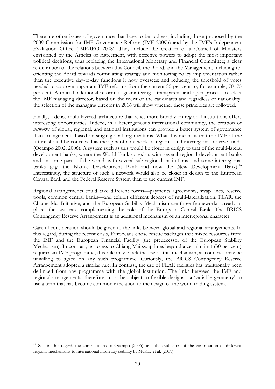There are other issues of governance that have to be address, including those proposed by the 2009 Commission for IMF Governance Reform (IMF 2009b) and by the IMF's Independent Evaluation Office (IMF-IEO 2008). They include the creation of a Council of Ministers envisioned by the Articles of Agreement, with effective powers to adopt the most important political decisions, thus replacing the International Monetary and Financial Committee; a clear re-definition of the relations between this Council, the Board, and the Management, including reorienting the Board towards formulating strategy and monitoring policy implementation rather than the executive day-to-day functions it now oversees; and reducing the threshold of votes needed to approve important IMF reforms from the current 85 per cent to, for example, 70–75 per cent. A crucial, additional reform, is guaranteeing a transparent and open process to select the IMF managing director, based on the merit of the candidates and regardless of nationality; the selection of the managing director in 2016 will show whether these principles are followed.

Finally, a dense multi-layered architecture that relies more broadly on regional institutions offers interesting opportunities. Indeed, in a heterogeneous international community, the creation of *networks* of global, regional, and national institutions can provide a better system of governance than arrangements based on single global organizations. What this means is that the IMF of the future should be conceived as the apex of a network of regional and interregional reserve funds (Ocampo 2002, 2006). A system such as this would be closer in design to that of the multi-lateral development banks, where the World Bank co-exists with several regional development banks and, in some parts of the world, with several sub-regional institutions, and some interregional banks (e.g. the Islamic Development Bank and now the New Development Bank).<sup>16</sup> Interestingly, the structure of such a network would also be closer in design to the European Central Bank and the Federal Reserve System than to the current IMF.

Regional arrangements could take different forms—payments agreements, swap lines, reserve pools, common central banks—and exhibit different degrees of multi-lateralization. FLAR, the Chiang Mai Initiative, and the European Stability Mechanism are three frameworks already in place, the last case complementing the role of the European Central Bank. The BRICS Contingency Reserve Arrangement is an additional mechanism of an interregional character.

Careful consideration should be given to the links between global and regional arrangements. In this regard, during the recent crisis, Europeans chose rescue packages that mixed resources from the IMF and the European Financial Facility (the predecessor of the European Stability Mechanism). In contrast, as access to Chiang Mai swap lines beyond a certain limit (30 per cent) requires an IMF programme, this rule may block the use of this mechanism, as countries may be unwilling to agree on any such programme. Curiously, the BRICS Contingency Reserve Arrangement adopted a similar rule. In contrast, the use of FLAR facilities has traditionally been de-linked from any programme with the global institution. The links between the IMF and regional arrangements, therefore, must be subject to flexible designs—a 'variable geometry' to use a term that has become common in relation to the design of the world trading system.

<u>.</u>

 $16$  See, in this regard, the contributions to Ocampo (2006), and the evaluation of the contribution of different regional mechanisms to international monetary stability by McKay et al. (2011).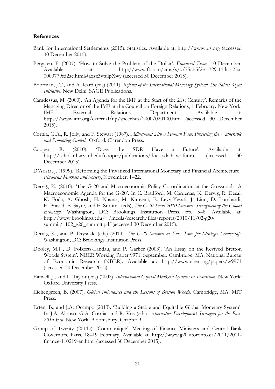#### **References**

- Bank for International Settlements (2015). Statistics. Available at: http://www.bis.org (accessed 30 December 2015).
- Bergsten, F. (2007). 'How to Solve the Problem of the Dollar'. *Financial Times*, 10 December. Available at: http://www.ft.com/cms/s/0/75cb5f2e-a729-11dc-a25a-0000779fd2ac.html#axzz3vtulpXwy (accessed 30 December 2015).
- Boorman, J.T., and A. Icard (eds) (2011). *Reform of the International Monetary System: The Palais Royal Initiative*. New Delhi: SAGE Publications.
- Camdessus, M. (2000). 'An Agenda for the IMF at the Start of the 21st Century'. Remarks of the Managing Director of the IMF at the Council on Foreign Relations, 1 February. New York: IMF External Relations Department. Available at: https://www.imf.org/external/np/speeches/2000/020100.htm (accessed 30 December 2015).
- Cornia, G.A., R. Jolly, and F. Stewart (1987). *Adjustment with a Human Face: Protecting the Vulnerable and Promoting Growth*. Oxford: Clarendon Press.
- Cooper, R. (2010). 'Does the SDR Have a Future'. Available at: http://scholar.harvard.edu/cooper/publications/does-sdr-have-future (accessed 30 December 2015).
- D'Arista, J. (1999). 'Reforming the Privatized International Monetary and Financial Architecture'. *Financial Markets and Society*, November: 1–22.
- Derviş, K. (2010). 'The G-20 and Macroeconomic Policy Co-ordination at the Crossroads: A Macroeconomic Agenda for the G-20'. In C. Bradford, M. Cárdenas, K. Derviş, R. Desai, K. Foda, A. Ghosh, H. Kharas, M. Kimyeni, E. Levy-Yeyati, J. Linn, D. Lombardi, E. Prasad, E. Sayre, and E. Suruma (eds), *The G-20 Seoul 2010 Summit: Strengthening the Global Economy*. Washington, DC: Brookings Institution Press. pp. 3–8. Available at: http://www.brookings.edu/~/media/research/files/reports/2010/11/02-g20 summit/1102\_g20\_summit.pdf (accessed 30 December 2015).
- Derviş, K., and P. Drysdale (eds) (2014). *The G-20 Summit at Five: Time for Strategic Leadership*. Washington, DC: Brookings Institution Press.
- Dooley, M.P., D. Folkerts-Landau, and P. Garber (2003). 'An Essay on the Revived Bretton Woods System'. NBER Working Paper 9971, September. Cambridge, MA: National Bureau of Economic Research (NBER). Available at: http://www.nber.org/papers/w9971 (accessed 30 December 2015).
- Eatwell, J., and L. Taylor (eds) (2002). *International Capital Markets: Systems in Transition*. New York: Oxford University Press.
- Eichengreen, B. (2007). *Global Imbalances and the Lessons of Bretton Woods*. Cambridge, MA: MIT Press.
- Erten, B., and J.A. Ocampo (2013). 'Building a Stable and Equitable Global Monetary System'. In J.A. Alonso, G.A. Cornia, and R. Vos (eds), *Alternative Development Strategies for the Post-2015 Era*. New York: Bloomsbury, Chapter 9.
- Group of Twenty (2011a). 'Communiqué'. Meeting of Finance Ministers and Central Bank Governors, Paris, 18–19 February. Available at: http://www.g20.utoronto.ca/2011/2011 finance-110219-en.html (accessed 30 December 2015).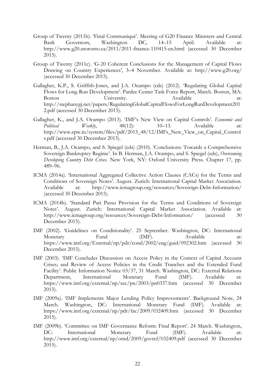- Group of Twenty (2011b). 'Final Communiqué'. Meeting of G20 Finance Ministers and Central Bank Governors, Washington DC, 14–15 April. Available at: http://www.g20.utoronto.ca/2011/2011-finance-110415-en.html (accessed 30 December 2015).
- Group of Twenty (2011c). 'G-20 Coherent Conclusions for the Management of Capital Flows Drawing on Country Experiences', 3–4 November. Available at: http://www.g20.org/ (accessed 30 December 2015).
- Gallagher, K.P., S. Griffith-Jones, and J.A. Ocampo (eds) (2012). 'Regulating Global Capital Flows for Long-Run Development'. Pardee Center Task Force Report, March. Boston, MA: Boston University. Available at: http://stephanygj.net/papers/RegulatingGlobalCapitalFlowsForLongRunDevelopment201 2.pdf (accessed 30 December 2015).
- Gallagher, K., and J.A. Ocampo (2013). 'IMF's New View on Capital Controls'. *Economic and*  Political Weekly, 48(12): 10–13. Available at: http://www.epw.in/system/files/pdf/2013\_48/12/IMFs\_New\_View\_on\_Capital\_Control s.pdf (accessed 30 December 2015).
- Herman, B., J.A. Ocampo, and S. Spiegel (eds) (2010). 'Conclusions: Towards a Comprehensive Sovereign Bankruptcy Regime'. In B. Herman, J.A. Ocampo, and S. Spiegel (eds), *Overcoming Developing Country Debt Crises*. New York, NY: Oxford University Press. Chapter 17, pp. 489–96.
- ICMA (2014a). 'International Aggregated Collective Action Clauses (CACs) for the Terms and Conditions of Sovereign Notes'. August. Zurich: International Capital Market Association. Available at: http://www.icmagroup.org/resources/Sovereign-Debt-Information/ (accessed 30 December 2015).
- ICMA (2014b). 'Standard Pari Passu Provision for the Terms and Conditions of Sovereign Notes'. August. Zurich: International Capital Market Association. Available at: http://www.icmagroup.org/resources/Sovereign-Debt-Information/ (accessed 30 December 2015).
- IMF (2002). 'Guidelines on Conditionality'. 25 September. Washington, DC: International Monetary Fund (IMF). Available at: https://www.imf.org/External/np/pdr/cond/2002/eng/guid/092302.htm (accessed 30 December 2015).
- IMF (2003). 'IMF Concludes Discussion on Access Policy in the Context of Capital Account Crises; and Review of Access Policies in the Credit Tranches and the Extended Fund Facility'. Public Information Notice 03/37, 31 March. Washington, DC: External Relations Department, International Monetary Fund (IMF). Available at: https://www.imf.org/external/np/sec/pn/2003/pn0337.htm (accessed 30 December 2015).
- IMF (2009a). 'IMF Implements Major Lending Policy Improvements'. Background Note, 24 March. Washington, DC: International Monetary Fund (IMF). Available at: https://www.imf.org/external/np/pdr/fac/2009/032409.htm (accessed 30 December 2015).
- IMF (2009b). 'Committee on IMF Governance Reform: Final Report'. 24 March. Washington, DC: International Monetary Fund (IMF). Available at: http://www.imf.org/external/np/omd/2009/govref/032409.pdf (accessed 30 December 2015).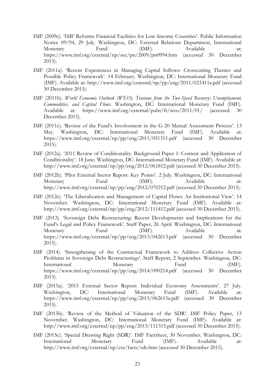- IMF (2009c). 'IMF Reforms Financial Facilities for Low-Income Countries'. Public Information Notice 09/94, 29 July. Washington, DC: External Relations Department, International Monetary Fund (IMF). Available at: https://www.imf.org/external/np/sec/pn/2009/pn0994.htm (accessed 30 December 2015).
- IMF (2011a). 'Recent Experiences in Managing Capital Inflows: Crosscutting Themes and Possible Policy Framework'. 14 February. Washington, DC: International Monetary Fund (IMF). Available at: http://www.imf.org/external/np/pp/eng/2011/021411a.pdf (accessed 30 December 2015).
- IMF (2011b). *World Economic Outlook (WEO). Tensions from the Two-Speed Recovery: Unemployment, Commodities, and Capital Flows*. Washington, DC: International Monetary Fund (IMF). Available at: https://www.imf.org/external/pubs/ft/weo/2011/01/ (accessed 30 December 2015).
- IMF (2011c). 'Review of the Fund's Involvement in the G-20 Mutual Assessment Process'. 13 May. Washington, DC: International Monetary Fund (IMF). Available at: https://www.imf.org/external/np/pp/eng/2011/051311.pdf (accessed 30 December 2015).
- IMF (2012a). '2011 Review of Conditionality. Background Paper 1: Content and Application of Conditionality'. 18 June. Washington, DC: International Monetary Fund (IMF). Available at: http://www.imf.org/external/np/pp/eng/2012/061812.pdf (accessed 30 December 2015).
- IMF (2012b). 'Pilot External Sector Report: Key Points'. 2 July. Washington, DC: International Monetary Fund (IMF). Available at: http://www.imf.org/external/np/pp/eng/2012/070212.pdf (accessed 30 December 2015).
- IMF (2012c). 'The Liberalization and Management of Capital Flows: An Institutional View'. 14 November. Washington, DC: International Monetary Fund (IMF). Available at: http://www.imf.org/external/np/pp/eng/2012/111412.pdf (accessed 30 December 2015).
- IMF (2013). 'Sovereign Debt Restructuring: Recent Developments and Implications for the Fund's Legal and Policy Framework'. Staff Paper, 26 April. Washington, DC: International Monetary Fund (IMF). Available at: https://www.imf.org/external/np/pp/eng/2013/042613.pdf (accessed 30 December 2015).
- IMF (2014). 'Strengthening of the Contractual Framework to Address Collective Action Problems in Sovereign Debt Restructurings'. Staff Report, 2 September. Washington, DC: International Monetary Fund (IMF). https://www.imf.org/external/np/pp/eng/2014/090214.pdf (accessed 30 December 2015).
- IMF (2015a). '2015 External Sector Report: Individual Economy Assessments'. 27 July. Washington, DC: International Monetary Fund (IMF). Available at: https://www.imf.org/external/np/pp/eng/2015/062615a.pdf (accessed 30 December 2015).
- IMF (2015b). 'Review of the Method of Valuation of the SDR'. IMF Policy Paper, 13 November. Washington, DC: International Monetary Fund (IMF). Available at: http://www.imf.org/external/np/pp/eng/2015/111315.pdf (accessed 30 December 2015).
- IMF (2015c). 'Special Drawing Right (SDR)'. IMF Factsheet, 30 November. Washington, DC: International Monetary Fund (IMF). Available at: http://www.imf.org/external/np/exr/facts/sdr.htm (accessed 30 December 2015).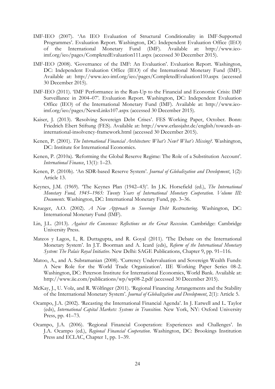- IMF-IEO (2007). 'An IEO Evaluation of Structural Conditionality in IMF-Supported Programmes'. Evaluation Report. Washington, DC: Independent Evaluation Office (IEO) of the International Monetary Fund (IMF). Available at: http://www.ieoimf.org/ieo/pages/CompletedEvaluation111.aspx (accessed 30 December 2015).
- IMF-IEO (2008). 'Governance of the IMF: An Evaluation'. Evaluation Report. Washington, DC: Independent Evaluation Office (IEO) of the International Monetary Fund (IMF). Available at: http://www.ieo-imf.org/ieo/pages/CompletedEvaluation110.aspx (accessed 30 December 2015).
- IMF-IEO (2011). 'IMF Performance in the Run-Up to the Financial and Economic Crisis: IMF Surveillance in 2004–07'. Evaluation Report. Washington, DC: Independent Evaluation Office (IEO) of the International Monetary Fund (IMF). Available at: http://www.ieoimf.org/ieo/pages/NewsLinks107.aspx (accessed 30 December 2015).
- Kaiser, J. (2013). 'Resolving Sovereign Debt Crises'. FES Working Paper, October. Bonn: Friedrich Ebert Stiftung (FES). Available at: http://www.erlassjahr.de/english/towards-aninternational-insolvency-framework.html (accessed 30 December 2015).
- Kenen, P. (2001). *The International Financial Architecture: What's New? What's Missing?*. Washington, DC: Institute for International Economics.
- Kenen, P. (2010a). 'Reforming the Global Reserve Regime: The Role of a Substitution Account'. *International Finance*, 13(1): 1–23.
- Kenen, P. (2010b). 'An SDR-based Reserve System'. *Journal of Globalization and Development*, 1(2): Article 13.
- Keynes, J.M. (1969). 'The Keynes Plan (1942–43)'. In J.K. Horsefield (ed.), *The International Monetary Fund, 1945–1965: Twenty Years of International Monetary Cooperation. Volume III: Documents*. Washington, DC: International Monetary Fund, pp. 3–36.
- Krueger, A.O. (2002). *A New Approach to Sovereign Debt Restructuring*. Washington, DC: International Monetary Fund (IMF).
- Lin, J.L. (2013). *Against the Consensus: Reflections on the Great Recession*. Cambridge: Cambridge University Press.
- Mateos y Lagos, I., R. Duttagupta, and R. Goyal (2011). 'The Debate on the International Monetary System'. In J.T. Boorman and A. Icard (eds), *Reform of the International Monetary System: The Palais Royal Initiative*. New Delhi: SAGE Publications, Chapter 9, pp. 91–116.
- Matoo, A., and A. Subramanian (2008). 'Currency Undervaluation and Sovereign Wealth Funds: A New Role for the World Trade Organization'. IIE Working Paper Series 08-2. Washington, DC: Peterson Institute for International Economics, World Bank. Available at: http://www.iie.com/publications/wp/wp08-2.pdf (accessed 30 December 2015).
- McKay, J., U. Volz, and R. Wölfinger (2011). 'Regional Financing Arrangements and the Stability of the International Monetary System'. *Journal of Globalization and Development*, 2(1): Article 5.
- Ocampo, J.A. (2002). 'Recasting the International Financial Agenda'. In J. Eatwell and L. Taylor (eds), *International Capital Markets: Systems in Transition*. New York, NY: Oxford University Press, pp. 41–73.
- Ocampo, J.A. (2006). 'Regional Financial Cooperation: Experiences and Challenges'. In J.A. Ocampo (ed.), *Regional Financial Cooperation*. Washington, DC: Brookings Institution Press and ECLAC, Chapter 1, pp. 1–39.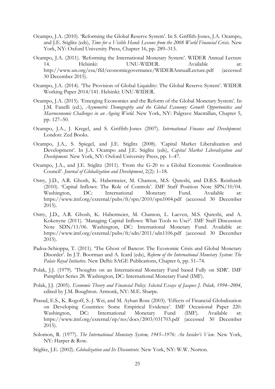- Ocampo, J.A. (2010). 'Reforming the Global Reserve System'. In S. Griffith-Jones, J.A. Ocampo, and J.E. Stiglitz (eds), *Time for a Visible Hand: Lessons from the 2008 World Financial Crisis*. New York, NY: Oxford University Press, Chapter 16, pp. 289–313.
- Ocampo, J.A. (2011). 'Reforming the International Monetary System'. WIDER Annual Lecture 14. Helsinki: UNU-WIDER. Available at: http://www.un.org/esa/ffd/economicgovernance/WIDERAnnualLecture.pdf (accessed 30 December 2015).
- Ocampo, J.A. (2014). 'The Provision of Global Liquidity: The Global Reserve System'. WIDER Working Paper 2014/141. Helsinki: UNU-WIDER.
- Ocampo, J.A. (2015). 'Emerging Economies and the Reform of the Global Monetary System'. In J.M. Fanelli (ed.), *Asymmetric Demography and the Global Economy: Growth Opportunities and Macroeconomic Challenges in an Ageing World*. New York, NY: Palgrave Macmillan, Chapter 5, pp. 127–50.
- Ocampo, J.A., J. Kregel, and S. Griffith-Jones (2007). *International Finance and Development*. London: Zed Books.
- Ocampo, J.A., S. Spiegel, and J.E. Stiglitz (2008). 'Capital Market Liberalization and Development'. In J.A. Ocampo and J.E. Stiglitz (eds), *Capital Market Liberalization and Development*. New York, NY: Oxford University Press, pp. 1–47.
- Ocampo, J.A., and J.E. Stiglitz (2011). 'From the G-20 to a Global Economic Coordination Council'. *Journal of Globalization and Development*, 2(2): 1–18.
- Ostry, J.D., A.R. Ghosh, K. Habermeier, M. Chamon, M.S. Qureshi, and D.B.S. Reinhardt (2010). 'Capital Inflows: The Role of Controls'. IMF Staff Position Note SPN/10/04. Washington, DC: International Monetary Fund. Available https://www.imf.org/external/pubs/ft/spn/2010/spn1004.pdf (accessed 30 December 2015).
- Ostry, J.D., A.R. Ghosh, K. Habermeier, M. Chamon, L. Laeven, M.S. Qureshi, and A. Kokenyne (2011). 'Managing Capital Inflows: What Tools to Use?'. IMF Staff Discussion Note SDN/11/06. Washington, DC: International Monetary Fund. Available at: https://www.imf.org/external/pubs/ft/sdn/2011/sdn1106.pdf (accessed 30 December 2015).
- Padoa-Schioppa, T. (2011). 'The Ghost of Bancor: The Economic Crisis and Global Monetary Disorder'. In J.T. Boorman and A. Icard (eds), *Reform of the International Monetary System: The Palais Royal Initiative*. New Delhi: SAGE Publications, Chapter 6, pp. 51–74.
- Polak, J.J. (1979). 'Thoughts on an International Monetary Fund based Fully on SDR'. IMF Pamphlet Series 28. Washington, DC: International Monetary Fund (IMF).
- Polak, J.J. (2005). *Economic Theory and Financial Policy: Selected Essays of Jacques J. Polak, 1994–2004*, edited by J.M. Boughton. Armonk, NY: M.E. Sharpe.
- Prasad, E.S., K. Rogoff, S.-J. Wei, and M. Ayhan Rose (2003). 'Effects of Financial Globalization on Developing Countries: Some Empirical Evidence'. IMF Occasional Paper 220. Washington, DC: International Monetary Fund (IMF). Available at: https://www.imf.org/external/np/res/docs/2003/031703.pdf (accessed 30 December 2015).
- Solomon, R. (1977). *The International Monetary System, 1945–1976: An Insider's View*. New York, NY: Harper & Row.
- Stiglitz, J.E. (2002). *Globalization and Its Discontents*. New York, NY: W.W. Norton.